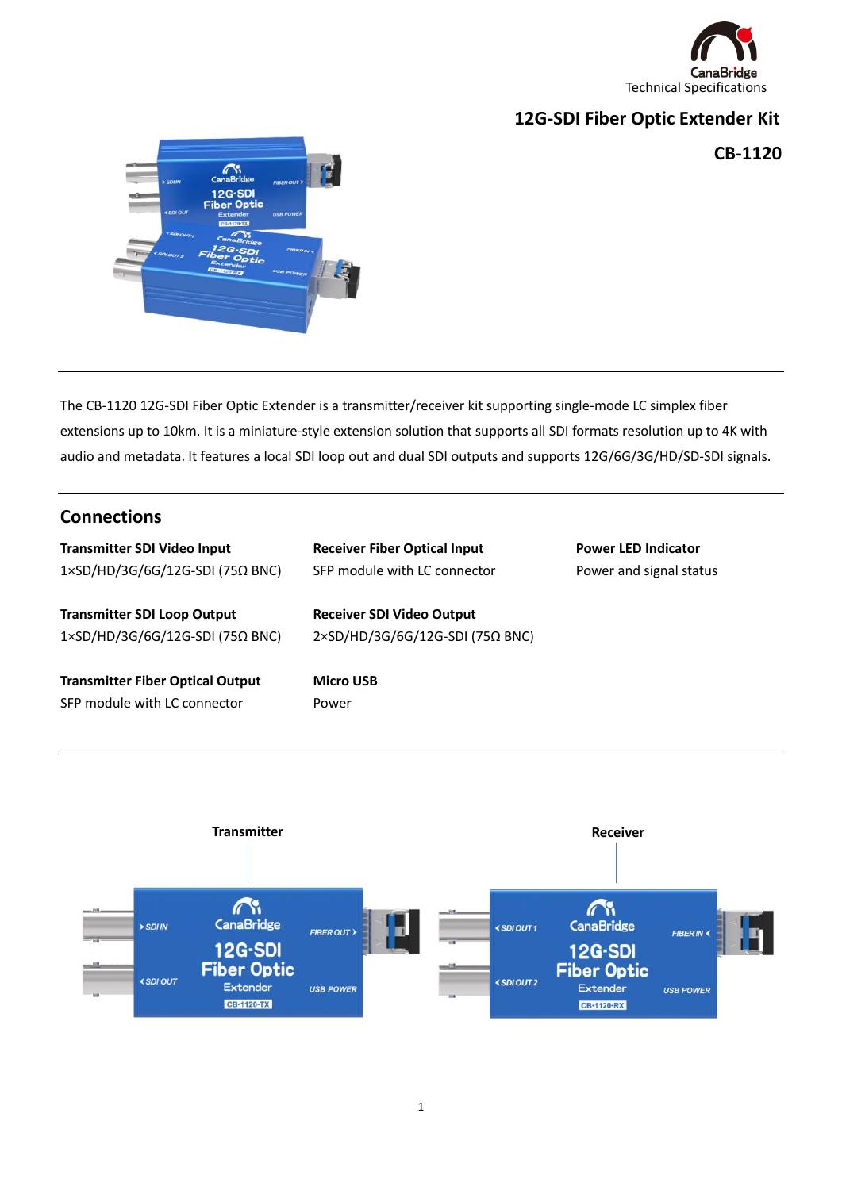

# **12G-SDI Fiber Optic Extender Kit**

**CB-1120**



The CB-1120 12G-SDI Fiber Optic Extender is a transmitter/receiver kit supporting single-mode LC simplex fiber extensions up to 10km. It is a miniature-style extension solution that supports all SDI formats resolution up to 4K with audio and metadata. It features a local SDI loop out and dual SDI outputs and supports 12G/6G/3G/HD/SD-SDI signals.

### **Connections**

| <b>Transmitter SDI Video Input</b>      | <b>Receiver Fiber Optical Input</b> | <b>Power LED Indicator</b> |
|-----------------------------------------|-------------------------------------|----------------------------|
| 1×SD/HD/3G/6G/12G-SDI (75Ω BNC)         | SFP module with LC connector        | Power and signal status    |
| <b>Transmitter SDI Loop Output</b>      | <b>Receiver SDI Video Output</b>    |                            |
| 1×SD/HD/3G/6G/12G-SDI (75Ω BNC)         | 2×SD/HD/3G/6G/12G-SDI (75Ω BNC)     |                            |
| <b>Transmitter Fiber Optical Output</b> | <b>Micro USB</b>                    |                            |
| SFP module with LC connector            | Power                               |                            |

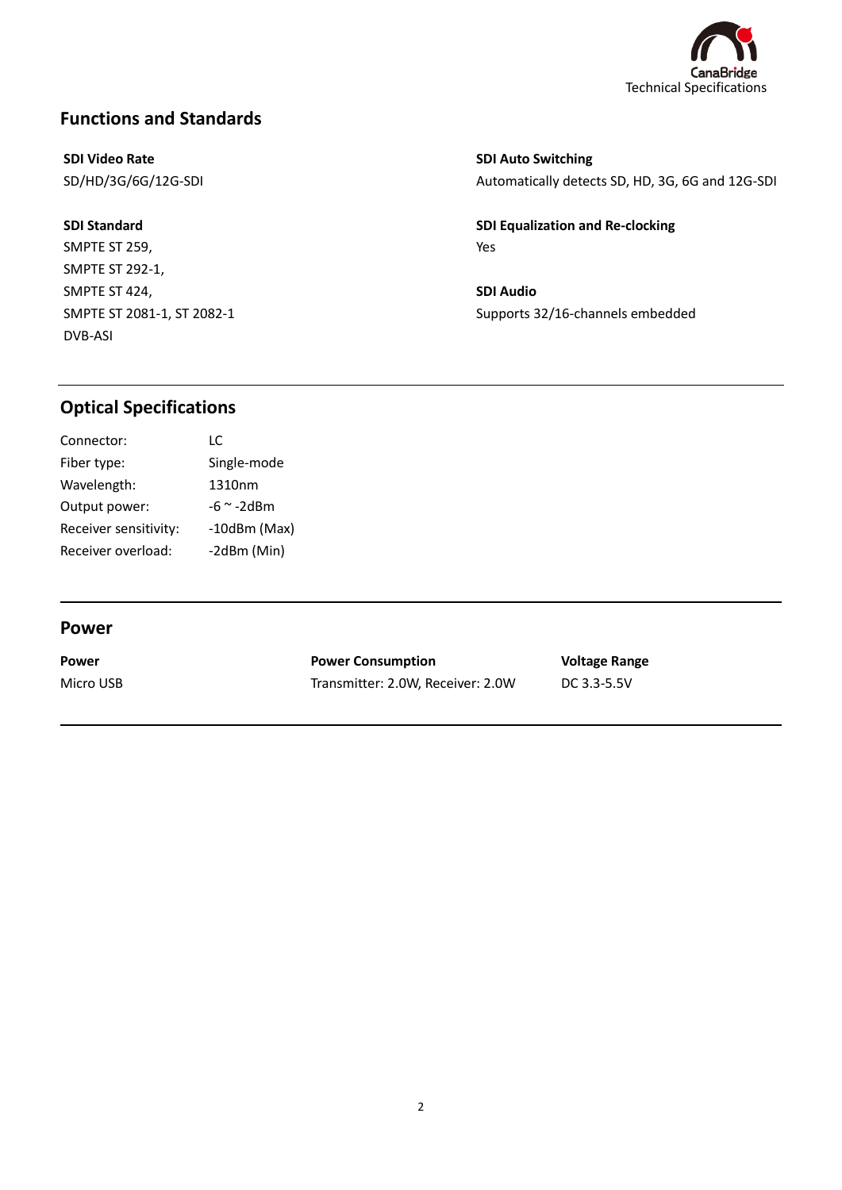

## **Functions and Standards**

### **SDI Video Rate**

SD/HD/3G/6G/12G-SDI

**SDI Standard** SMPTE ST 259, SMPTE ST 292-1, SMPTE ST 424, SMPTE ST 2081-1, ST 2082-1 DVB-ASI

**SDI Auto Switching** Automatically detects SD, HD, 3G, 6G and 12G-SDI

**SDI Equalization and Re-clocking** Yes

**SDI Audio** Supports 32/16-channels embedded

### **Optical Specifications**

| Connector:            | IC.               |
|-----------------------|-------------------|
| Fiber type:           | Single-mode       |
| Wavelength:           | 1310nm            |
| Output power:         | $-6$ $\sim$ -2dBm |
| Receiver sensitivity: | $-10$ dBm $(Max)$ |
| Receiver overload:    | -2dBm (Min)       |

#### **Power**

l

l

**Power** Micro USB

**Power Consumption** Transmitter: 2.0W, Receiver: 2.0W **Voltage Range** DC 3.3-5.5V